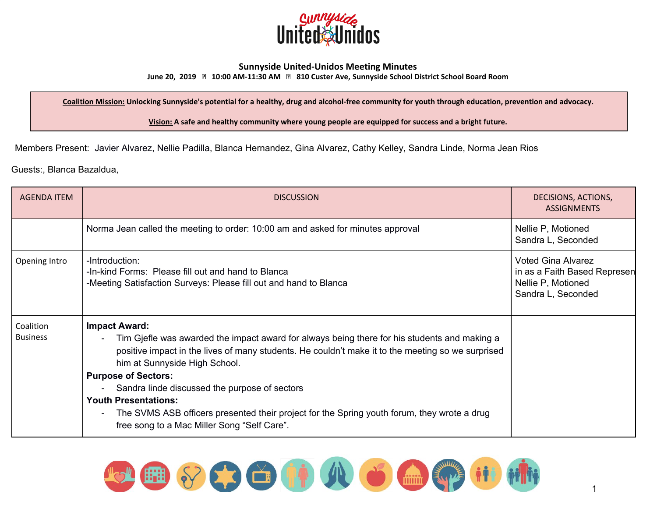

## **Sunnyside United-Unidos Meeting Minutes**

**June 20, 2019 10:00 AM-11:30 AM 810 Custer Ave, Sunnyside School District School Board Room**

Coalition Mission: Unlocking Sunnyside's potential for a healthy, drug and alcohol-free community for youth through education, prevention and advocacy.

**Vision: A safe and healthy community where young people are equipped for success and a bright future.**

Members Present: Javier Alvarez, Nellie Padilla, Blanca Hernandez, Gina Alvarez, Cathy Kelley, Sandra Linde, Norma Jean Rios

Guests:, Blanca Bazaldua,

| <b>AGENDA ITEM</b>           | <b>DISCUSSION</b>                                                                                                                                                                                                                                                                                                                                                                                                                                                                                                      | DECISIONS, ACTIONS,<br><b>ASSIGNMENTS</b>                                                             |
|------------------------------|------------------------------------------------------------------------------------------------------------------------------------------------------------------------------------------------------------------------------------------------------------------------------------------------------------------------------------------------------------------------------------------------------------------------------------------------------------------------------------------------------------------------|-------------------------------------------------------------------------------------------------------|
|                              | Norma Jean called the meeting to order: 10:00 am and asked for minutes approval                                                                                                                                                                                                                                                                                                                                                                                                                                        | Nellie P, Motioned<br>Sandra L, Seconded                                                              |
| Opening Intro                | -Introduction:<br>-In-kind Forms: Please fill out and hand to Blanca<br>-Meeting Satisfaction Surveys: Please fill out and hand to Blanca                                                                                                                                                                                                                                                                                                                                                                              | <b>Voted Gina Alvarez</b><br>in as a Faith Based Represen<br>Nellie P, Motioned<br>Sandra L, Seconded |
| Coalition<br><b>Business</b> | <b>Impact Award:</b><br>Tim Gjefle was awarded the impact award for always being there for his students and making a<br>positive impact in the lives of many students. He couldn't make it to the meeting so we surprised<br>him at Sunnyside High School.<br><b>Purpose of Sectors:</b><br>Sandra linde discussed the purpose of sectors<br><b>Youth Presentations:</b><br>The SVMS ASB officers presented their project for the Spring youth forum, they wrote a drug<br>free song to a Mac Miller Song "Self Care". |                                                                                                       |